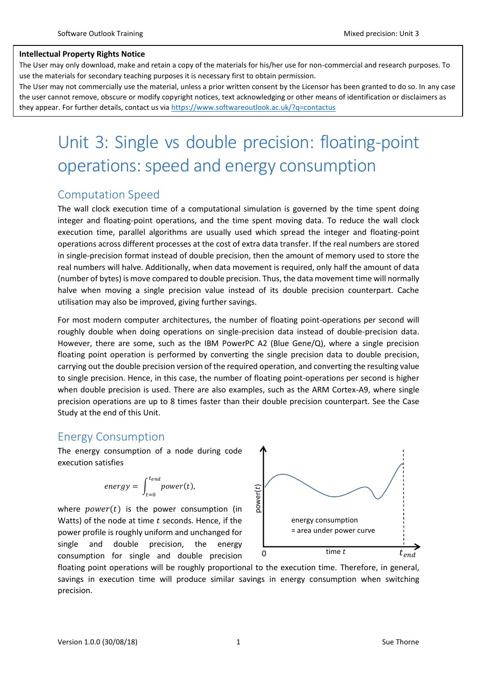### **Intellectual Property Rights Notice**

The User may only download, make and retain a copy of the materials for his/her use for non-commercial and research purposes. To use the materials for secondary teaching purposes it is necessary first to obtain permission.

The User may not commercially use the material, unless a prior written consent by the Licensor has been granted to do so. In any case the user cannot remove, obscure or modify copyright notices, text acknowledging or other means of identification or disclaimers as they appear. For further details, contact us via<https://www.softwareoutlook.ac.uk/?q=contactus>

# Unit 3: Single vs double precision: floating-point operations: speed and energy consumption

## Computation Speed

The wall clock execution time of a computational simulation is governed by the time spent doing integer and floating-point operations, and the time spent moving data. To reduce the wall clock execution time, parallel algorithms are usually used which spread the integer and floating-point operations across different processes at the cost of extra data transfer. If the real numbers are stored in single-precision format instead of double precision, then the amount of memory used to store the real numbers will halve. Additionally, when data movement is required, only half the amount of data (number of bytes) is move compared to double precision. Thus, the data movement time will normally halve when moving a single precision value instead of its double precision counterpart. Cache utilisation may also be improved, giving further savings.

For most modern computer architectures, the number of floating point-operations per second will roughly double when doing operations on single-precision data instead of double-precision data. However, there are some, such as the IBM PowerPC A2 (Blue Gene/Q), where a single precision floating point operation is performed by converting the single precision data to double precision, carrying out the double precision version of the required operation, and converting the resulting value to single precision. Hence, in this case, the number of floating point-operations per second is higher when double precision is used. There are also examples, such as the ARM Cortex-A9, where single precision operations are up to 8 times faster than their double precision counterpart. See the Case Study at the end of this Unit.

## Energy Consumption

The energy consumption of a node during code execution satisfies

$$
energy = \int_{t=0}^{t_{end}} power(t),
$$

where  $power(t)$  is the power consumption (in Watts) of the node at time  $t$  seconds. Hence, if the power profile is roughly uniform and unchanged for single and double precision, the energy consumption for single and double precision



floating point operations will be roughly proportional to the execution time. Therefore, in general, savings in execution time will produce similar savings in energy consumption when switching precision.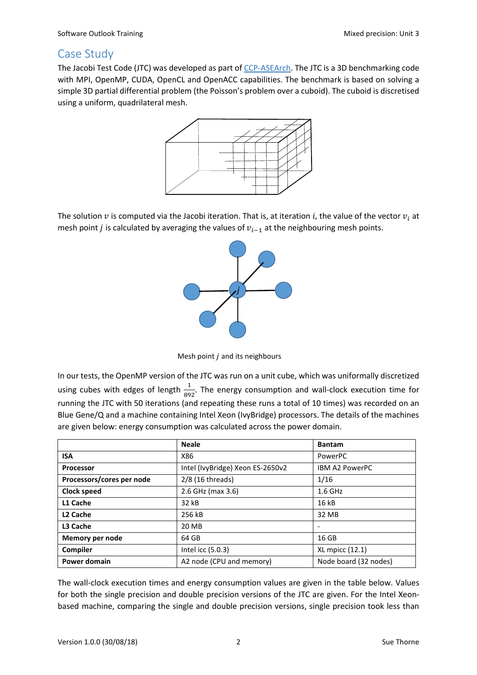# Case Study

The Jacobi Test Code (JTC) was developed as part o[f CCP-ASEArch.](http://www.oerc.ox.ac.uk/projects/asearch-algorithms-and-software-emerging-architectures) The JTC is a 3D benchmarking code with MPI, OpenMP, CUDA, OpenCL and OpenACC capabilities. The benchmark is based on solving a simple 3D partial differential problem (the Poisson's problem over a cuboid). The cuboid is discretised using a uniform, quadrilateral mesh.



The solution  $v$  is computed via the Jacobi iteration. That is, at iteration i, the value of the vector  $v_i$  at mesh point *j* is calculated by averaging the values of  $v_{i-1}$  at the neighbouring mesh points.



Mesh point  $j$  and its neighbours

In our tests, the OpenMP version of the JTC was run on a unit cube, which was uniformally discretized using cubes with edges of length  $\frac{1}{892}$ . The energy consumption and wall-clock execution time for running the JTC with 50 iterations (and repeating these runs a total of 10 times) was recorded on an Blue Gene/Q and a machine containing Intel Xeon (IvyBridge) processors. The details of the machines are given below: energy consumption was calculated across the power domain.

|                           | <b>Neale</b>                     | <b>Bantam</b>         |  |
|---------------------------|----------------------------------|-----------------------|--|
| <b>ISA</b>                | X86                              | PowerPC               |  |
| <b>Processor</b>          | Intel (IvyBridge) Xeon ES-2650v2 | <b>IBM A2 PowerPC</b> |  |
| Processors/cores per node | 2/8 (16 threads)                 | 1/16                  |  |
| Clock speed               | 2.6 GHz (max 3.6)                | $1.6$ GHz             |  |
| L1 Cache                  | 32 kB                            | 16 kB                 |  |
| L <sub>2</sub> Cache      | 256 kB                           | 32 MB                 |  |
| L <sub>3</sub> Cache      | 20 MB                            |                       |  |
| Memory per node           | 64 GB                            | 16 GB                 |  |
| Compiler                  | Intel icc (5.0.3)                | XL mpicc (12.1)       |  |
| <b>Power domain</b>       | A2 node (CPU and memory)         | Node board (32 nodes) |  |

The wall-clock execution times and energy consumption values are given in the table below. Values for both the single precision and double precision versions of the JTC are given. For the Intel Xeonbased machine, comparing the single and double precision versions, single precision took less than